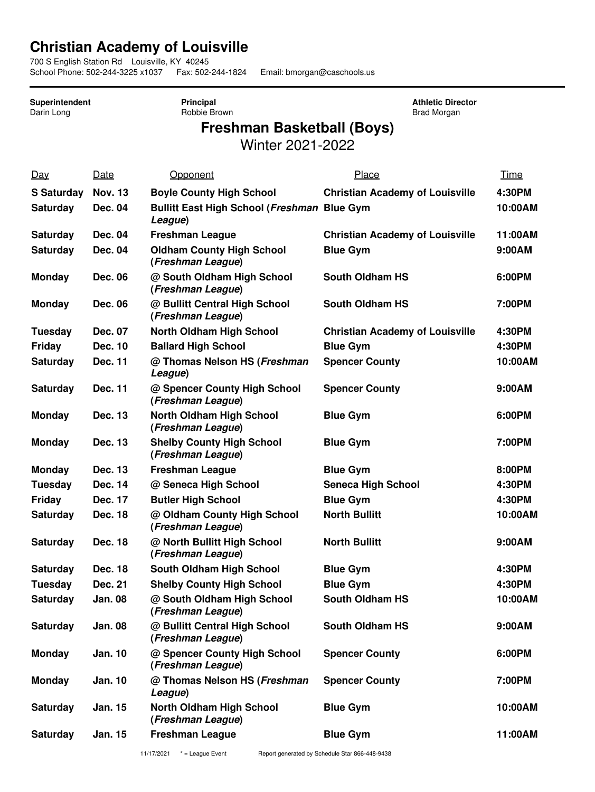## **Christian Academy of Louisville**

700 S English Station Rd Louisville, KY 40245 School Phone: 502-244-3225 x1037 Fax: 502-244-1824 Email: bmorgan@caschools.us

> **Principal** Robbie Brown

**Superintendent** Darin Long

**Athletic Director** Brad Morgan

## **Freshman Basketball (Boys)**

Winter 2021-2022

| <b>Nov. 13</b> | <b>Boyle County High School</b>                       | <b>Christian Academy of Louisville</b> | 4:30PM                                             |
|----------------|-------------------------------------------------------|----------------------------------------|----------------------------------------------------|
| Dec. 04        | League)                                               |                                        | 10:00AM                                            |
| Dec. 04        | <b>Freshman League</b>                                | <b>Christian Academy of Louisville</b> | 11:00AM                                            |
| Dec. 04        | <b>Oldham County High School</b><br>(Freshman League) | <b>Blue Gym</b>                        | 9:00AM                                             |
| <b>Dec. 06</b> | @ South Oldham High School<br>(Freshman League)       | <b>South Oldham HS</b>                 | 6:00PM                                             |
| <b>Dec. 06</b> | @ Bullitt Central High School<br>(Freshman League)    | <b>South Oldham HS</b>                 | 7:00PM                                             |
| Dec. 07        | <b>North Oldham High School</b>                       | <b>Christian Academy of Louisville</b> | 4:30PM                                             |
| Dec. 10        | <b>Ballard High School</b>                            | <b>Blue Gym</b>                        | 4:30PM                                             |
| Dec. 11        | @ Thomas Nelson HS (Freshman<br>League)               | <b>Spencer County</b>                  | 10:00AM                                            |
| Dec. 11        | @ Spencer County High School<br>(Freshman League)     | <b>Spencer County</b>                  | 9:00AM                                             |
| Dec. 13        | <b>North Oldham High School</b><br>(Freshman League)  | <b>Blue Gym</b>                        | 6:00PM                                             |
| Dec. 13        | <b>Shelby County High School</b><br>(Freshman League) | <b>Blue Gym</b>                        | 7:00PM                                             |
| Dec. 13        | <b>Freshman League</b>                                | <b>Blue Gym</b>                        | 8:00PM                                             |
| Dec. 14        | @ Seneca High School                                  | <b>Seneca High School</b>              | 4:30PM                                             |
| <b>Dec. 17</b> | <b>Butler High School</b>                             | <b>Blue Gym</b>                        | 4:30PM                                             |
| Dec. 18        | @ Oldham County High School<br>(Freshman League)      | <b>North Bullitt</b>                   | 10:00AM                                            |
| Dec. 18        | @ North Bullitt High School<br>(Freshman League)      | <b>North Bullitt</b>                   | 9:00AM                                             |
| <b>Dec. 18</b> | South Oldham High School                              | <b>Blue Gym</b>                        | 4:30PM                                             |
| <b>Dec. 21</b> | <b>Shelby County High School</b>                      | <b>Blue Gym</b>                        | 4:30PM                                             |
| <b>Jan. 08</b> | @ South Oldham High School<br>(Freshman League)       | <b>South Oldham HS</b>                 | 10:00AM                                            |
| <b>Jan. 08</b> | @ Bullitt Central High School<br>(Freshman League)    | <b>South Oldham HS</b>                 | 9:00AM                                             |
| Jan. 10        | @ Spencer County High School<br>(Freshman League)     | <b>Spencer County</b>                  | 6:00PM                                             |
| <b>Jan. 10</b> | @ Thomas Nelson HS (Freshman<br>League)               | <b>Spencer County</b>                  | 7:00PM                                             |
| Jan. 15        | <b>North Oldham High School</b><br>(Freshman League)  | <b>Blue Gym</b>                        | 10:00AM                                            |
| Jan. 15        | <b>Freshman League</b>                                | <b>Blue Gym</b>                        | 11:00AM                                            |
|                |                                                       |                                        | <b>Bullitt East High School (Freshman Blue Gym</b> |